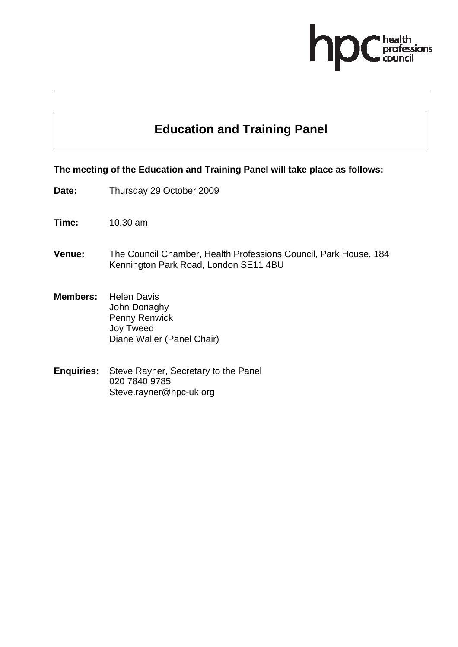# **ofessions**

# **Education and Training Panel**

#### **The meeting of the Education and Training Panel will take place as follows:**

- **Date:** Thursday 29 October 2009
- **Time:** 10.30 am
- **Venue:** The Council Chamber, Health Professions Council, Park House, 184 Kennington Park Road, London SE11 4BU
- **Members:** Helen Davis John Donaghy Penny Renwick Joy Tweed Diane Waller (Panel Chair)
- **Enquiries:** Steve Rayner, Secretary to the Panel 020 7840 9785 Steve.rayner@hpc-uk.org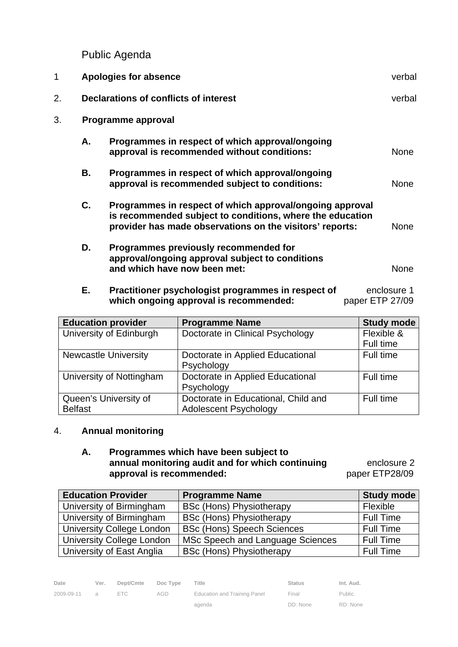Public Agenda

| 1  | <b>Apologies for absence</b>                 |                                                                                                                                                                                   |             |  |  |
|----|----------------------------------------------|-----------------------------------------------------------------------------------------------------------------------------------------------------------------------------------|-------------|--|--|
| 2. | <b>Declarations of conflicts of interest</b> |                                                                                                                                                                                   |             |  |  |
| 3. |                                              | Programme approval                                                                                                                                                                |             |  |  |
|    | А.                                           | Programmes in respect of which approval/ongoing<br>approval is recommended without conditions:                                                                                    | <b>None</b> |  |  |
|    | В.                                           | Programmes in respect of which approval/ongoing<br>approval is recommended subject to conditions:                                                                                 | <b>None</b> |  |  |
|    | C.                                           | Programmes in respect of which approval/ongoing approval<br>is recommended subject to conditions, where the education<br>provider has made observations on the visitors' reports: | <b>None</b> |  |  |
|    | D.                                           | Programmes previously recommended for<br>approval/ongoing approval subject to conditions<br>and which have now been met:                                                          | <b>None</b> |  |  |

**E.** Practitioner psychologist programmes in respect of enclosure 1 **which ongoing approval is recommended:** paper ETP 27/09

| <b>Education provider</b>               | <b>Programme Name</b>                                               | <b>Study mode</b>       |
|-----------------------------------------|---------------------------------------------------------------------|-------------------------|
| University of Edinburgh                 | Doctorate in Clinical Psychology                                    | Flexible &<br>Full time |
| <b>Newcastle University</b>             | Doctorate in Applied Educational<br>Psychology                      | Full time               |
| University of Nottingham                | Doctorate in Applied Educational<br>Psychology                      | Full time               |
| Queen's University of<br><b>Belfast</b> | Doctorate in Educational, Child and<br><b>Adolescent Psychology</b> | Full time               |

# 4. **Annual monitoring**

### **A. Programmes which have been subject to annual monitoring audit and for which continuing enclosure 2 approval is recommended:** paper ETP28/09

| <b>Education Provider</b>        | <b>Programme Name</b>             | <b>Study mode</b> |
|----------------------------------|-----------------------------------|-------------------|
| University of Birmingham         | <b>BSc (Hons) Physiotherapy</b>   | Flexible          |
| University of Birmingham         | <b>BSc (Hons) Physiotherapy</b>   | <b>Full Time</b>  |
| <b>University College London</b> | <b>BSc (Hons) Speech Sciences</b> | <b>Full Time</b>  |
| <b>University College London</b> | MSc Speech and Language Sciences  | <b>Full Time</b>  |
| University of East Anglia        | <b>BSc (Hons) Physiotherapy</b>   | <b>Full Time</b>  |

| Date         | Ver. | Dept/Cmte Doc Type |     | Title                        | <b>Status</b> | Int. Aud.     |
|--------------|------|--------------------|-----|------------------------------|---------------|---------------|
| 2009-09-11 a |      | FTC.               | AGD | Education and Training Panel | Final         | <b>Public</b> |
|              |      |                    |     | agenda                       | DD: None      | RD: None      |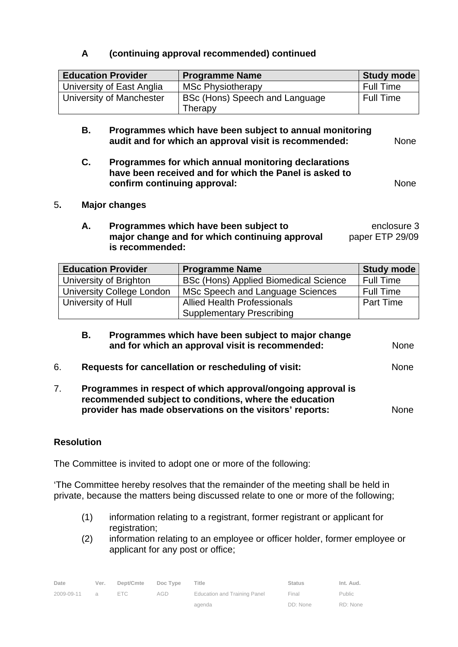## **A (continuing approval recommended) continued**

| <b>Education Provider</b> | <b>Programme Name</b>                     | <b>Study mode</b> |
|---------------------------|-------------------------------------------|-------------------|
| University of East Anglia | <b>MSc Physiotherapy</b>                  | <b>Full Time</b>  |
| University of Manchester  | BSc (Hons) Speech and Language<br>Therapy | <b>Full Time</b>  |

- **B. Programmes which have been subject to annual monitoring audit and for which an approval visit is recommended:** None
- **C. Programmes for which annual monitoring declarations have been received and for which the Panel is asked to confirm continuing approval: None None**

- 5**. Major changes** 
	- **A.** Programmes which have been subject to **EXACT AND EXACT EXACT** Programmes which have been subject to **major change and for which continuing approval paper ETP 29/09 is recommended:**

| <b>Education Provider</b>        | <b>Programme Name</b>                        | <b>Study mode</b> |
|----------------------------------|----------------------------------------------|-------------------|
| University of Brighton           | <b>BSc (Hons) Applied Biomedical Science</b> | <b>Full Time</b>  |
| <b>University College London</b> | MSc Speech and Language Sciences             | <b>Full Time</b>  |
| University of Hull               | <b>Allied Health Professionals</b>           | <b>Part Time</b>  |
|                                  | <b>Supplementary Prescribing</b>             |                   |

- **B. Programmes which have been subject to major change and for which an approval visit is recommended:** None 6. **Requests for cancellation or rescheduling of visit:** None
- 7. **Programmes in respect of which approval/ongoing approval is recommended subject to conditions, where the education provider has made observations on the visitors' reports:** None

#### **Resolution**

The Committee is invited to adopt one or more of the following:

'The Committee hereby resolves that the remainder of the meeting shall be held in private, because the matters being discussed relate to one or more of the following;

- (1) information relating to a registrant, former registrant or applicant for registration:
- (2) information relating to an employee or officer holder, former employee or applicant for any post or office;

| Date               | Ver. | Dept/Cmte Doc Type |     | Title                        | <b>Status</b> | Int. Aud. |
|--------------------|------|--------------------|-----|------------------------------|---------------|-----------|
| $2009 - 09 - 11$ a |      | FTC.               | AGD | Education and Training Panel | Final         | Public    |
|                    |      |                    |     | agenda                       | DD: None      | RD: None  |